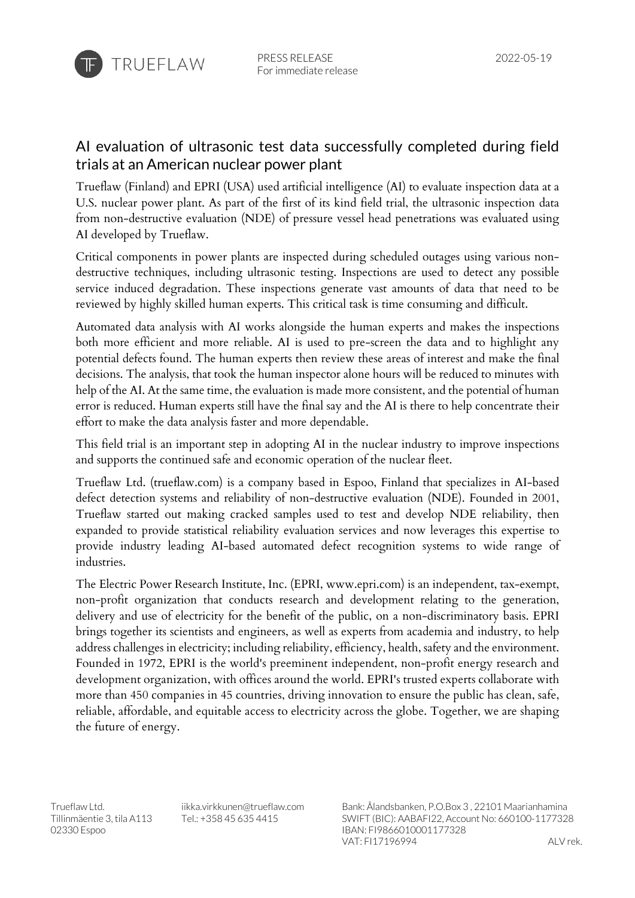

## AI evaluation of ultrasonic test data successfully completed during field trials at an American nuclear power plant

Trueflaw (Finland) and EPRI (USA) used artificial intelligence (AI) to evaluate inspection data at a U.S. nuclear power plant. As part of the first of its kind field trial, the ultrasonic inspection data from non-destructive evaluation (NDE) of pressure vessel head penetrations was evaluated using AI developed by Trueflaw.

Critical components in power plants are inspected during scheduled outages using various nondestructive techniques, including ultrasonic testing. Inspections are used to detect any possible service induced degradation. These inspections generate vast amounts of data that need to be reviewed by highly skilled human experts. This critical task is time consuming and difficult.

Automated data analysis with AI works alongside the human experts and makes the inspections both more efficient and more reliable. AI is used to pre-screen the data and to highlight any potential defects found. The human experts then review these areas of interest and make the final decisions. The analysis, that took the human inspector alone hours will be reduced to minutes with help of the AI. At the same time, the evaluation is made more consistent, and the potential of human error is reduced. Human experts still have the final say and the AI is there to help concentrate their effort to make the data analysis faster and more dependable.

This field trial is an important step in adopting AI in the nuclear industry to improve inspections and supports the continued safe and economic operation of the nuclear fleet.

Trueflaw Ltd. (trueflaw.com) is a company based in Espoo, Finland that specializes in AI-based defect detection systems and reliability of non-destructive evaluation (NDE). Founded in 2001, Trueflaw started out making cracked samples used to test and develop NDE reliability, then expanded to provide statistical reliability evaluation services and now leverages this expertise to provide industry leading AI-based automated defect recognition systems to wide range of industries.

The Electric Power Research Institute, Inc. (EPRI, www.epri.com) is an independent, tax-exempt, non-profit organization that conducts research and development relating to the generation, delivery and use of electricity for the benefit of the public, on a non-discriminatory basis. EPRI brings together its scientists and engineers, as well as experts from academia and industry, to help address challenges in electricity; including reliability, efficiency, health, safety and the environment. Founded in 1972, EPRI is the world's preeminent independent, non-profit energy research and development organization, with offices around the world. EPRI's trusted experts collaborate with more than 450 companies in 45 countries, driving innovation to ensure the public has clean, safe, reliable, affordable, and equitable access to electricity across the globe. Together, we are shaping the future of energy.